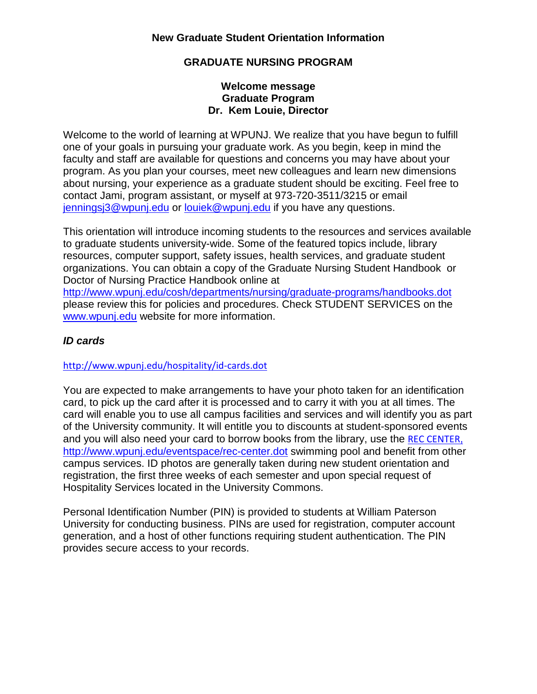### **GRADUATE NURSING PROGRAM**

#### **Welcome message Graduate Program Dr. Kem Louie, Director**

Welcome to the world of learning at WPUNJ. We realize that you have begun to fulfill one of your goals in pursuing your graduate work. As you begin, keep in mind the faculty and staff are available for questions and concerns you may have about your program. As you plan your courses, meet new colleagues and learn new dimensions about nursing, your experience as a graduate student should be exciting. Feel free to contact Jami, program assistant, or myself at 973-720-3511/3215 or email [jenningsj3@wpunj.edu](mailto:jenningsj3@wpunj.edu) or [louiek@wpunj.edu](mailto:louiek@wpunj.edu) if you have any questions.

This orientation will introduce incoming students to the resources and services available to graduate students university-wide. Some of the featured topics include, library resources, computer support, safety issues, health services, and graduate student organizations. You can obtain a copy of the Graduate Nursing Student Handbook or Doctor of Nursing Practice Handbook online at

<http://www.wpunj.edu/cosh/departments/nursing/graduate-programs/handbooks.dot> please review this for policies and procedures. Check STUDENT SERVICES on the [www.wpunj.edu](http://www.wpunj.edu/) website for more information.

### *ID cards*

<http://www.wpunj.edu/hospitality/id-cards.dot>

You are expected to make arrangements to have your photo taken for an identification card, to pick up the card after it is processed and to carry it with you at all times. The card will enable you to use all campus facilities and services and will identify you as part of the University community. It will entitle you to discounts at student-sponsored events and you will also need your card to borrow books from the library, use the [REC CENTER](file://wpc/wpu-folders/Groups/GradNursing/WEB%20PAGES/REC%20CENTER,), <http://www.wpunj.edu/eventspace/rec-center.dot> swimming pool and benefit from other campus services. ID photos are generally taken during new student orientation and registration, the first three weeks of each semester and upon special request of Hospitality Services located in the University Commons.

Personal Identification Number (PIN) is provided to students at William Paterson University for conducting business. PINs are used for registration, computer account generation, and a host of other functions requiring student authentication. The PIN provides secure access to your records.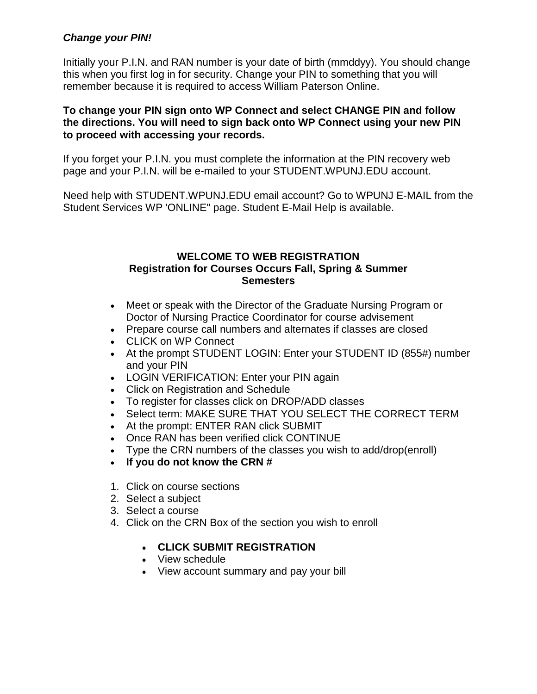### *Change your PIN!*

Initially your P.I.N. and RAN number is your date of birth (mmddyy). You should change this when you first log in for security. Change your PIN to something that you will remember because it is required to access William Paterson Online.

#### **To change your PIN sign onto WP Connect and select CHANGE PIN and follow the directions. You will need to sign back onto WP Connect using your new PIN to proceed with accessing your records.**

If you forget your P.I.N. you must complete the information at the PIN recovery web page and your P.I.N. will be e-mailed to your STUDENT.WPUNJ.EDU account.

Need help with STUDENT.WPUNJ.EDU email account? Go to WPUNJ E-MAIL from the Student Services WP 'ONLINE" page. Student E-Mail Help is available.

#### **WELCOME TO WEB REGISTRATION Registration for Courses Occurs Fall, Spring & Summer Semesters**

- Meet or speak with the Director of the Graduate Nursing Program or Doctor of Nursing Practice Coordinator for course advisement
- Prepare course call numbers and alternates if classes are closed
- CLICK on WP Connect
- At the prompt STUDENT LOGIN: Enter your STUDENT ID (855#) number and your PIN
- LOGIN VERIFICATION: Enter your PIN again
- Click on Registration and Schedule
- To register for classes click on DROP/ADD classes
- Select term: MAKE SURE THAT YOU SELECT THE CORRECT TERM
- At the prompt: ENTER RAN click SUBMIT
- Once RAN has been verified click CONTINUE
- Type the CRN numbers of the classes you wish to add/drop(enroll)
- **If you do not know the CRN #**
- 1. Click on course sections
- 2. Select a subject
- 3. Select a course
- 4. Click on the CRN Box of the section you wish to enroll

### • **CLICK SUBMIT REGISTRATION**

- View schedule
- View account summary and pay your bill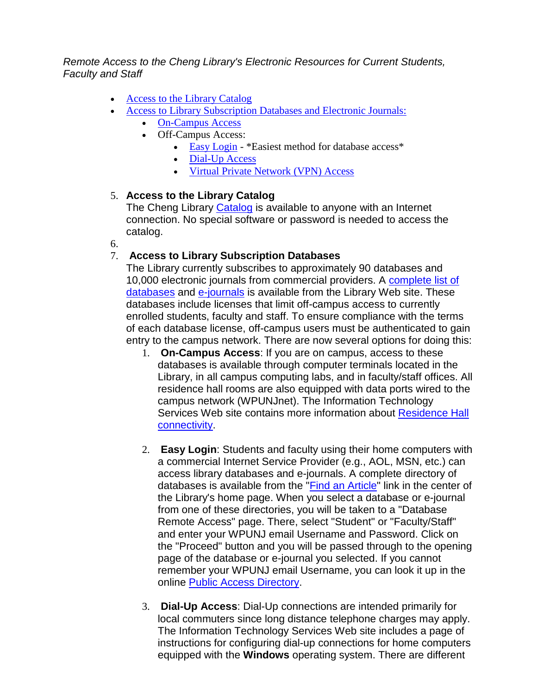*Remote Access to the Cheng Library's Electronic Resources for Current Students, Faculty and Staff*

- [Access to the Library Catalog](http://ww3.wpunj.edu/cos/nursing/grad/newgradstudents.htm#cat)
- [Access to Library Subscription Databases and Electronic Journals:](http://ww3.wpunj.edu/cos/nursing/grad/newgradstudents.htm#sub)
	- [On-Campus Access](http://ww3.wpunj.edu/cos/nursing/grad/newgradstudents.htm#oc)
	- Off-Campus Access:
		- [Easy Login](http://ww3.wpunj.edu/cos/nursing/grad/newgradstudents.htm#el) \*Easiest method for database access\*
		- [Dial-Up Access](http://ww3.wpunj.edu/cos/nursing/grad/newgradstudents.htm#du)
		- [Virtual Private Network \(VPN\) Access](http://ww3.wpunj.edu/cos/nursing/grad/newgradstudents.htm#vpn)

#### 5. **Access to the Library Catalog**

The Cheng Library [Catalog](http://cheng.wpunj.edu/) is available to anyone with an Internet connection. No special software or password is needed to access the catalog.

6.

### 7. **Access to Library Subscription Databases**

The Library currently subscribes to approximately 90 databases and 10,000 electronic journals from commercial providers. A [complete list of](http://www.wpunj.edu/library/erclist.shtml)  [databases](http://www.wpunj.edu/library/erclist.shtml) and [e-journals](http://www.wpunj.edu/library/ejournals.shtml#alpha) is available from the Library Web site. These databases include licenses that limit off-campus access to currently enrolled students, faculty and staff. To ensure compliance with the terms of each database license, off-campus users must be authenticated to gain entry to the campus network. There are now several options for doing this:

- 1. **On-Campus Access**: If you are on campus, access to these databases is available through computer terminals located in the Library, in all campus computing labs, and in faculty/staff offices. All residence hall rooms are also equipped with data ports wired to the campus network (WPUNJnet). The Information Technology Services Web site contains more information about Residence Hall [connectivity.](http://ww2.wpunj.edu/ITSERVICES/services/access/dorms.html)
- 2. **Easy Login**: Students and faculty using their home computers with a commercial Internet Service Provider (e.g., AOL, MSN, etc.) can access library databases and e-journals. A complete directory of databases is available from the ["Find an Article"](http://www.wpunj.edu/library/erclist.shtml) link in the center of the Library's home page. When you select a database or e-journal from one of these directories, you will be taken to a "Database Remote Access" page. There, select "Student" or "Faculty/Staff" and enter your WPUNJ email Username and Password. Click on the "Proceed" button and you will be passed through to the opening page of the database or e-journal you selected. If you cannot remember your WPUNJ email Username, you can look it up in the online [Public Access Directory.](http://student.wpunj.edu/exchange/finduser/root.asp?acs=anon)
- 3. **Dial-Up Access**: Dial-Up connections are intended primarily for local commuters since long distance telephone charges may apply. The Information Technology Services Web site includes a page of instructions for configuring dial-up connections for home computers equipped with the **Windows** operating system. There are different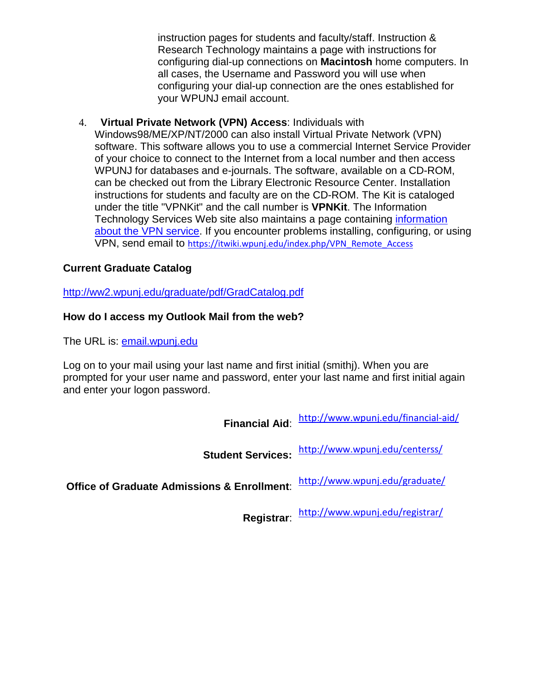instruction pages for [students](http://ww2.wpunj.edu/ITSERVICES/services/access/RemoteAccess/Student.html) and [faculty/staff.](http://ww2.wpunj.edu/ITSERVICES/services/access/RemoteAccess/Faculty.html) Instruction & Research Technology maintains a page with instructions for [configuring dial-up connections on](http://www.wpunj.edu/irt/commkit/mac/) **Macintosh** home computers. In all cases, the Username and Password you will use when configuring your dial-up connection are the ones established for your WPUNJ email account.

4. **Virtual Private Network (VPN) Access**: Individuals with Windows98/ME/XP/NT/2000 can also install Virtual Private Network (VPN) software. This software allows you to use a commercial Internet Service Provider of your choice to connect to the Internet from a local number and then access WPUNJ for databases and e-journals. The software, available on a CD-ROM, can be checked out from the Library Electronic Resource Center. Installation instructions for students and faculty are on the CD-ROM. The Kit is cataloged under the title "VPNKit" and the call number is **VPNKit**. The Information Technology Services Web site also maintains a page containing [information](http://ww2.wpunj.edu/ITSERVICES/services/access/vpn/default.htm)  [about the VPN service.](http://ww2.wpunj.edu/ITSERVICES/services/access/vpn/default.htm) If you encounter problems installing, configuring, or using VPN, send email to [https://itwiki.wpunj.edu/index.php/VPN\\_Remote\\_Access](https://itwiki.wpunj.edu/index.php/VPN_Remote_Access)

# **Current Graduate Catalog**

<http://ww2.wpunj.edu/graduate/pdf/GradCatalog.pdf>

### **How do I access my Outlook Mail from the web?**

The URL is: [email.wpunj.edu](http://email.wpunj.edu/exchange/logon.asp)

Log on to your mail using your last name and first initial (smithj). When you are prompted for your user name and password, enter your last name and first initial again and enter your logon password.

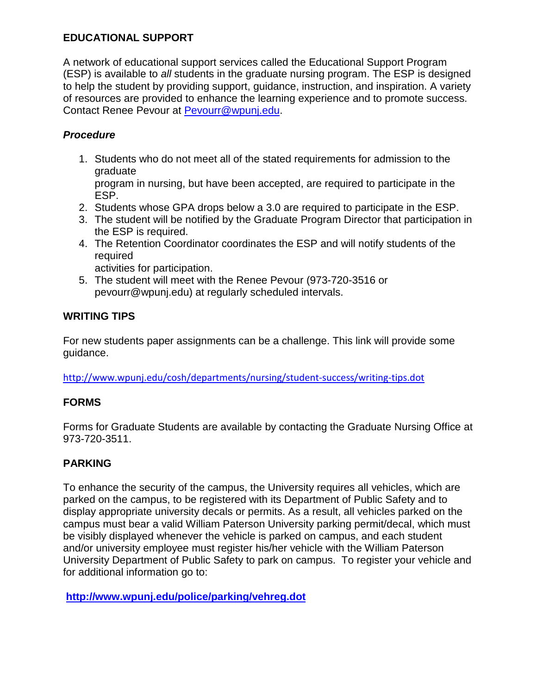# **EDUCATIONAL SUPPORT**

A network of educational support services called the Educational Support Program (ESP) is available to *all* students in the graduate nursing program. The ESP is designed to help the student by providing support, guidance, instruction, and inspiration. A variety of resources are provided to enhance the learning experience and to promote success. Contact Renee Pevour at [Pevourr@wpunj.edu.](mailto:Pevourr@wpunj.edu)

# *Procedure*

1. Students who do not meet all of the stated requirements for admission to the graduate

program in nursing, but have been accepted, are required to participate in the ESP.

- 2. Students whose GPA drops below a 3.0 are required to participate in the ESP.
- 3. The student will be notified by the Graduate Program Director that participation in the ESP is required.
- 4. The Retention Coordinator coordinates the ESP and will notify students of the required

activities for participation.

5. The student will meet with the Renee Pevour (973-720-3516 or pevourr@wpunj.edu) at regularly scheduled intervals.

# **WRITING TIPS**

For new students paper assignments can be a challenge. This link will provide some guidance.

<http://www.wpunj.edu/cosh/departments/nursing/student-success/writing-tips.dot>

# **FORMS**

Forms for Graduate Students are available by contacting the Graduate Nursing Office at 973-720-3511.

# **PARKING**

To enhance the security of the campus, the University requires all vehicles, which are parked on the campus, to be registered with its Department of Public Safety and to display appropriate university decals or permits. As a result, all vehicles parked on the campus must bear a valid William Paterson University parking permit/decal, which must be visibly displayed whenever the vehicle is parked on campus, and each student and/or university employee must register his/her vehicle with the William Paterson University Department of Public Safety to park on campus. To register your vehicle and for additional information go to:

**<http://www.wpunj.edu/police/parking/vehreg.dot>**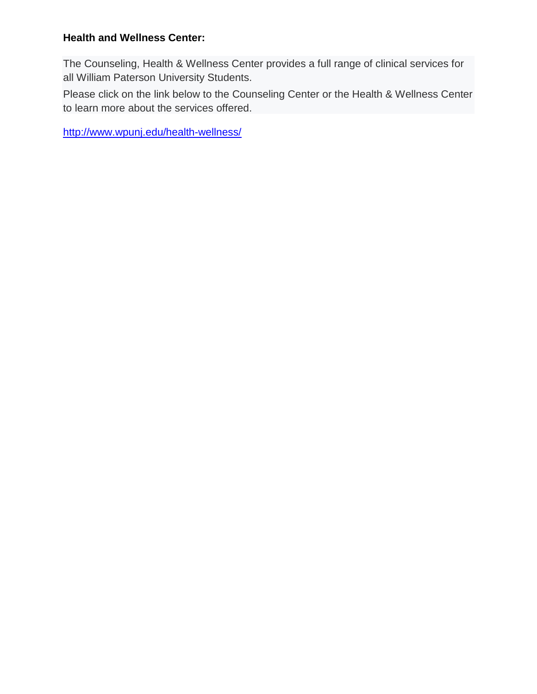### **Health and Wellness Center:**

The Counseling, Health & Wellness Center provides a full range of clinical services for all William Paterson University Students.

Please click on the link below to the Counseling Center or the Health & Wellness Center to learn more about the services offered.

<http://www.wpunj.edu/health-wellness/>